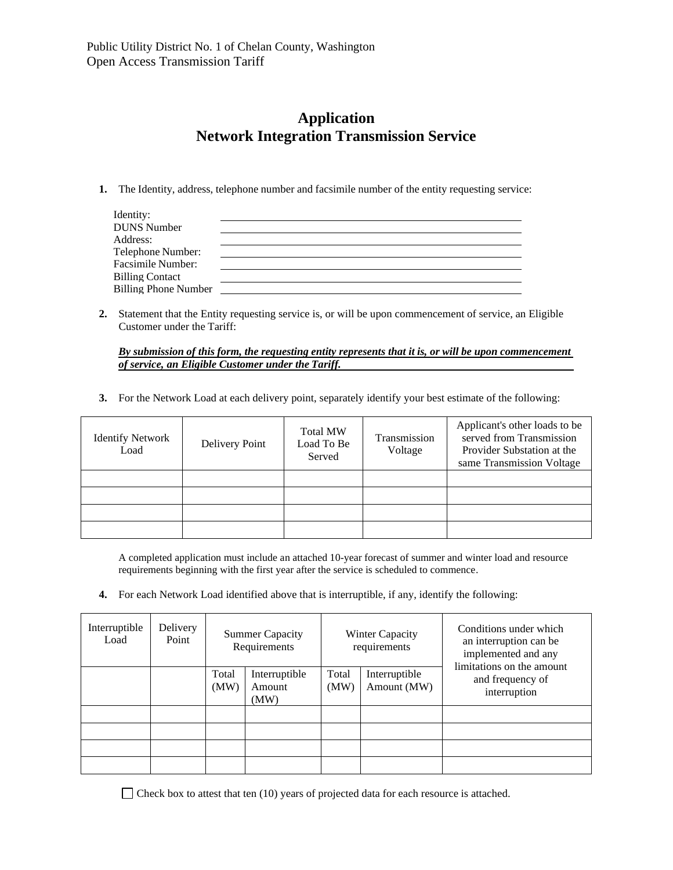# **Application Network Integration Transmission Service**

**1.** The Identity, address, telephone number and facsimile number of the entity requesting service:

| Identity:                   |  |
|-----------------------------|--|
| <b>DUNS Number</b>          |  |
| Address:                    |  |
| Telephone Number:           |  |
| Facsimile Number:           |  |
| <b>Billing Contact</b>      |  |
| <b>Billing Phone Number</b> |  |

**2.** Statement that the Entity requesting service is, or will be upon commencement of service, an Eligible Customer under the Tariff:

*By submission of this form, the requesting entity represents that it is, or will be upon commencement of service, an Eligible Customer under the Tariff.*

**3.** For the Network Load at each delivery point, separately identify your best estimate of the following:

| <b>Identify Network</b><br>Load | Delivery Point | <b>Total MW</b><br>Load To Be<br>Served | Transmission<br>Voltage | Applicant's other loads to be<br>served from Transmission<br>Provider Substation at the<br>same Transmission Voltage |
|---------------------------------|----------------|-----------------------------------------|-------------------------|----------------------------------------------------------------------------------------------------------------------|
|                                 |                |                                         |                         |                                                                                                                      |
|                                 |                |                                         |                         |                                                                                                                      |
|                                 |                |                                         |                         |                                                                                                                      |
|                                 |                |                                         |                         |                                                                                                                      |

A completed application must include an attached 10-year forecast of summer and winter load and resource requirements beginning with the first year after the service is scheduled to commence.

**4.** For each Network Load identified above that is interruptible, if any, identify the following:

| Interruptible<br>Load | Delivery<br>Point | <b>Summer Capacity</b><br>Requirements |                                 | <b>Winter Capacity</b><br>requirements |                              | Conditions under which<br>an interruption can be<br>implemented and any |  |
|-----------------------|-------------------|----------------------------------------|---------------------------------|----------------------------------------|------------------------------|-------------------------------------------------------------------------|--|
|                       |                   | Total<br>(MW)                          | Interruptible<br>Amount<br>(MW) | Total<br>(MW)                          | Interruptible<br>Amount (MW) | limitations on the amount<br>and frequency of<br>interruption           |  |
|                       |                   |                                        |                                 |                                        |                              |                                                                         |  |
|                       |                   |                                        |                                 |                                        |                              |                                                                         |  |
|                       |                   |                                        |                                 |                                        |                              |                                                                         |  |
|                       |                   |                                        |                                 |                                        |                              |                                                                         |  |

 $\Box$  Check box to attest that ten (10) years of projected data for each resource is attached.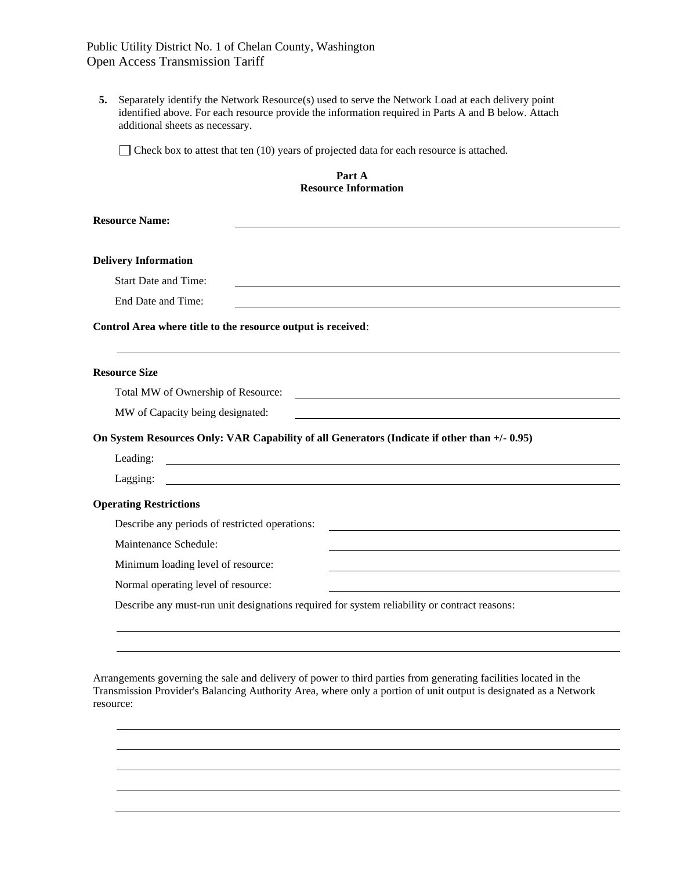# Public Utility District No. 1 of Chelan County, Washington Open Access Transmission Tariff

**5.** Separately identify the Network Resource(s) used to serve the Network Load at each delivery point identified above. For each resource provide the information required in Parts A and B below. Attach additional sheets as necessary.

 $\Box$  Check box to attest that ten (10) years of projected data for each resource is attached.

#### **Part A Resource Information**

| <b>Resource Name:</b>                                                                                                                                       |  |  |  |  |
|-------------------------------------------------------------------------------------------------------------------------------------------------------------|--|--|--|--|
|                                                                                                                                                             |  |  |  |  |
| <b>Delivery Information</b>                                                                                                                                 |  |  |  |  |
| <b>Start Date and Time:</b>                                                                                                                                 |  |  |  |  |
| End Date and Time:                                                                                                                                          |  |  |  |  |
| Control Area where title to the resource output is received:                                                                                                |  |  |  |  |
| <b>Resource Size</b>                                                                                                                                        |  |  |  |  |
| Total MW of Ownership of Resource:<br><u> 1989 - Jan Samuel Barbara, margaret e</u> n 1980 eta eta eskualdean eta eskualdean eta eskualdean eta eta eta eta |  |  |  |  |
| MW of Capacity being designated:                                                                                                                            |  |  |  |  |
| On System Resources Only: VAR Capability of all Generators (Indicate if other than +/- 0.95)                                                                |  |  |  |  |
| Leading:<br><u> 1989 - Johann John Stone, marking fan de Fryske kunstne fan de ferstjer fan de ferstjer fan de ferstjer fan d</u>                           |  |  |  |  |
| Lagging:                                                                                                                                                    |  |  |  |  |
| <b>Operating Restrictions</b>                                                                                                                               |  |  |  |  |
| Describe any periods of restricted operations:                                                                                                              |  |  |  |  |
| Maintenance Schedule:                                                                                                                                       |  |  |  |  |
| Minimum loading level of resource:                                                                                                                          |  |  |  |  |
| Normal operating level of resource:<br><u> 1989 - Johann Barbara, martxa alemaniar arg</u>                                                                  |  |  |  |  |
| Describe any must-run unit designations required for system reliability or contract reasons:                                                                |  |  |  |  |

Arrangements governing the sale and delivery of power to third parties from generating facilities located in the Transmission Provider's Balancing Authority Area, where only a portion of unit output is designated as a Network resource: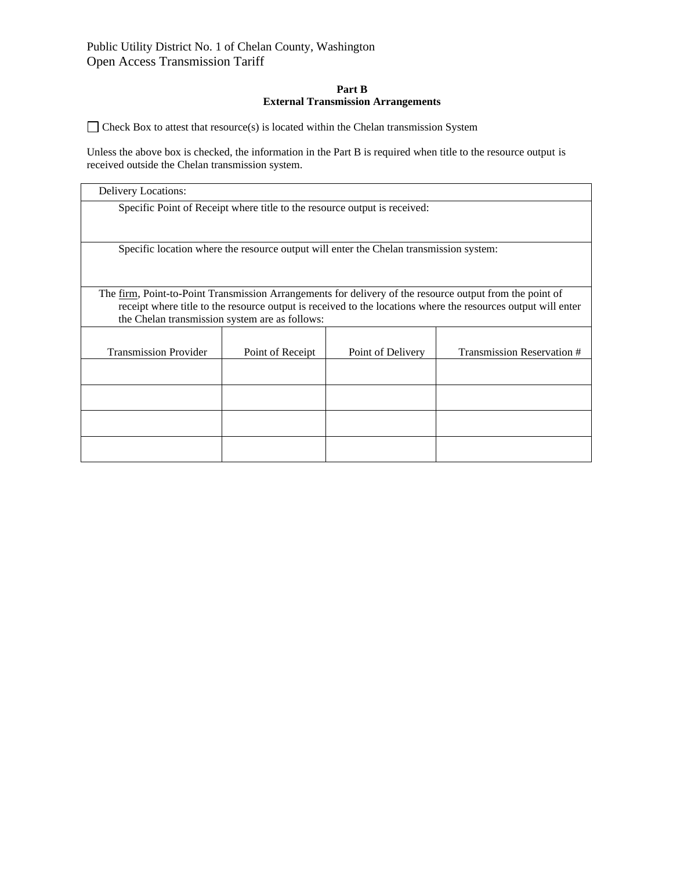## **Part B External Transmission Arrangements**

 $\Box$  Check Box to attest that resource(s) is located within the Chelan transmission System

Unless the above box is checked, the information in the Part B is required when title to the resource output is received outside the Chelan transmission system.

| Delivery Locations:                            |                  |                                                                                        |                                                                                                                                                                                                                           |
|------------------------------------------------|------------------|----------------------------------------------------------------------------------------|---------------------------------------------------------------------------------------------------------------------------------------------------------------------------------------------------------------------------|
|                                                |                  | Specific Point of Receipt where title to the resource output is received:              |                                                                                                                                                                                                                           |
|                                                |                  | Specific location where the resource output will enter the Chelan transmission system: |                                                                                                                                                                                                                           |
| the Chelan transmission system are as follows: |                  |                                                                                        | The firm, Point-to-Point Transmission Arrangements for delivery of the resource output from the point of<br>receipt where title to the resource output is received to the locations where the resources output will enter |
| <b>Transmission Provider</b>                   | Point of Receipt | Point of Delivery                                                                      | Transmission Reservation #                                                                                                                                                                                                |
|                                                |                  |                                                                                        |                                                                                                                                                                                                                           |
|                                                |                  |                                                                                        |                                                                                                                                                                                                                           |
|                                                |                  |                                                                                        |                                                                                                                                                                                                                           |
|                                                |                  |                                                                                        |                                                                                                                                                                                                                           |